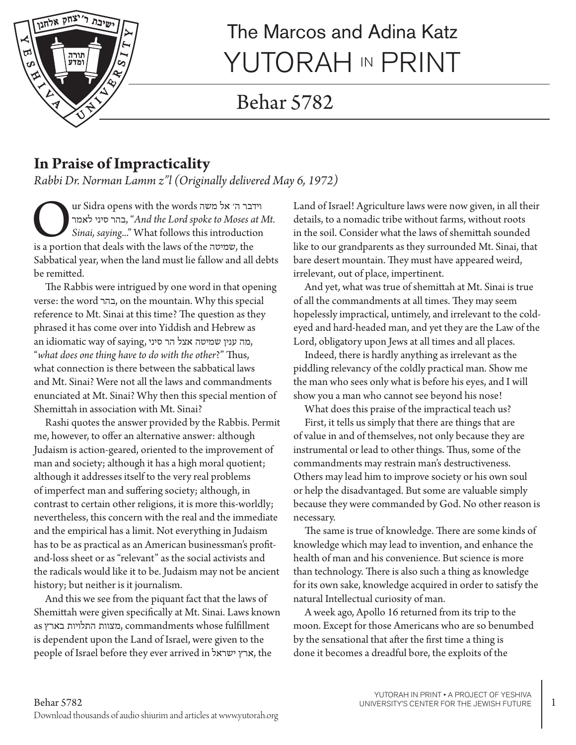

# The Marcos and Adina Katz YUTORAH IN PRINT

## Behar 5782

### **In Praise of Impracticality**

*Rabbi Dr. Norman Lamm z"l (Originally delivered May 6, 1972)*

our Sidra opens with the words וידבר ה׳ אל משה "And the Lord spoke to Moses at Sinai, saying..." What follows this introduction is a portion that deals with the laws of the שמיטה, the לאמר סיני בהר," *And the Lord spoke to Moses at Mt. Sinai, saying*..." What follows this introduction Sabbatical year, when the land must lie fallow and all debts be remitted.

The Rabbis were intrigued by one word in that opening verse: the word בהר, on the mountain. Why this special reference to Mt. Sinai at this time? The question as they phrased it has come over into Yiddish and Hebrew as an idiomatic way of saying, מה ענין שמיטה אצל הר סיני, "*what does one thing have to do with the other*?" Thus, what connection is there between the sabbatical laws and Mt. Sinai? Were not all the laws and commandments enunciated at Mt. Sinai? Why then this special mention of Shemittah in association with Mt. Sinai?

Rashi quotes the answer provided by the Rabbis. Permit me, however, to offer an alternative answer: although Judaism is action-geared, oriented to the improvement of man and society; although it has a high moral quotient; although it addresses itself to the very real problems of imperfect man and suffering society; although, in contrast to certain other religions, it is more this-worldly; nevertheless, this concern with the real and the immediate and the empirical has a limit. Not everything in Judaism has to be as practical as an American businessman's profitand-loss sheet or as "relevant" as the social activists and the radicals would like it to be. Judaism may not be ancient history; but neither is it journalism.

And this we see from the piquant fact that the laws of Shemittah were given specifically at Mt. Sinai. Laws known as בארץ התלויות מצוות, commandments whose fulfillment is dependent upon the Land of Israel, were given to the people of Israel before they ever arrived in ישראל ארץ, the

Land of Israel! Agriculture laws were now given, in all their details, to a nomadic tribe without farms, without roots in the soil. Consider what the laws of shemittah sounded like to our grandparents as they surrounded Mt. Sinai, that bare desert mountain. They must have appeared weird, irrelevant, out of place, impertinent.

And yet, what was true of shemittah at Mt. Sinai is true of all the commandments at all times. They may seem hopelessly impractical, untimely, and irrelevant to the coldeyed and hard-headed man, and yet they are the Law of the Lord, obligatory upon Jews at all times and all places.

Indeed, there is hardly anything as irrelevant as the piddling relevancy of the coldly practical man. Show me the man who sees only what is before his eyes, and I will show you a man who cannot see beyond his nose!

What does this praise of the impractical teach us?

First, it tells us simply that there are things that are of value in and of themselves, not only because they are instrumental or lead to other things. Thus, some of the commandments may restrain man's destructiveness. Others may lead him to improve society or his own soul or help the disadvantaged. But some are valuable simply because they were commanded by God. No other reason is necessary.

The same is true of knowledge. There are some kinds of knowledge which may lead to invention, and enhance the health of man and his convenience. But science is more than technology. There is also such a thing as knowledge for its own sake, knowledge acquired in order to satisfy the natural Intellectual curiosity of man.

A week ago, Apollo 16 returned from its trip to the moon. Except for those Americans who are so benumbed by the sensational that after the first time a thing is done it becomes a dreadful bore, the exploits of the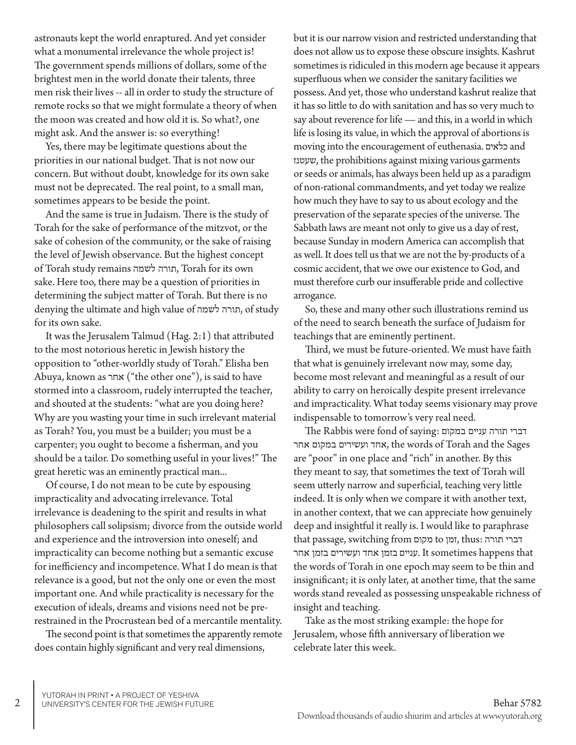astronauts kept the world enraptured. And yet consider what a monumental irrelevance the whole project is! The government spends millions of dollars, some of the brightest men in the world donate their talents, three men risk their lives -- all in order to study the structure of remote rocks so that we might formulate a theory of when the moon was created and how old it is. So what?, one might ask. And the answer is: so everything!

Yes, there may be legitimate questions about the priorities in our national budget. That is not now our concern. But without doubt, knowledge for its own sake must not be deprecated. The real point, to a small man, sometimes appears to be beside the point.

And the same is true in Judaism. There is the study of Torah for the sake of performance of the mitzvot, or the sake of cohesion of the community, or the sake of raising the level of Jewish observance. But the highest concept of Torah study remains לשמה תורה, Torah for its own sake. Here too, there may be a question of priorities in determining the subject matter of Torah. But there is no denying the ultimate and high value of לשמה תורה, of study for its own sake.

It was the Jerusalem Talmud (Hag. 2:1) that attributed to the most notorious heretic in Jewish history the opposition to "other-worldly study of Torah." Elisha ben Abuya, known as אחר ("the other one"), is said to have stormed into a classroom, rudely interrupted the teacher, and shouted at the students: "what are you doing here? Why are you wasting your time in such irrelevant material as Torah? You, you must be a builder; you must be a carpenter; you ought to become a fisherman, and you should be a tailor. Do something useful in your lives!" The great heretic was an eminently practical man...

Of course, I do not mean to be cute by espousing impracticality and advocating irrelevance. Total irrelevance is deadening to the spirit and results in what philosophers call solipsism; divorce from the outside world and experience and the introversion into oneself; and impracticality can become nothing but a semantic excuse for inefficiency and incompetence. What I do mean is that relevance is a good, but not the only one or even the most important one. And while practicality is necessary for the execution of ideals, dreams and visions need not be prerestrained in the Procrustean bed of a mercantile mentality.

The second point is that sometimes the apparently remote does contain highly significant and very real dimensions,

but it is our narrow vision and restricted understanding that does not allow us to expose these obscure insights. Kashrut sometimes is ridiculed in this modern age because it appears superfluous when we consider the sanitary facilities we possess. And yet, those who understand kashrut realize that it has so little to do with sanitation and has so very much to say about reverence for life — and this, in a world in which life is losing its value, in which the approval of abortions is moving into the encouragement of euthenasia. כלאים and שעטנז, the prohibitions against mixing various garments or seeds or animals, has always been held up as a paradigm of non-rational commandments, and yet today we realize how much they have to say to us about ecology and the preservation of the separate species of the universe. The Sabbath laws are meant not only to give us a day of rest, because Sunday in modern America can accomplish that as well. It does tell us that we are not the by-products of a cosmic accident, that we owe our existence to God, and must therefore curb our insufferable pride and collective arrogance.

So, these and many other such illustrations remind us of the need to search beneath the surface of Judaism for teachings that are eminently pertinent.

Third, we must be future-oriented. We must have faith that what is genuinely irrelevant now may, some day, become most relevant and meaningful as a result of our ability to carry on heroically despite present irrelevance and impracticality. What today seems visionary may prove indispensable to tomorrow's very real need.

The Rabbis were fond of saying: במקום עניים תורה דברי אחר במקום ועשירים אחד, the words of Torah and the Sages are "poor" in one place and "rich" in another. By this they meant to say, that sometimes the text of Torah will seem utterly narrow and superficial, teaching very little indeed. It is only when we compare it with another text, in another context, that we can appreciate how genuinely deep and insightful it really is. I would like to paraphrase that passage, switching from מקום to זמן, thus: תורה דברי עניים בזמן אחד ועשירים בזמן אחר. It sometimes happens that the words of Torah in one epoch may seem to be thin and insignificant; it is only later, at another time, that the same words stand revealed as possessing unspeakable richness of insight and teaching.

Take as the most striking example: the hope for Jerusalem, whose fifth anniversary of liberation we celebrate later this week.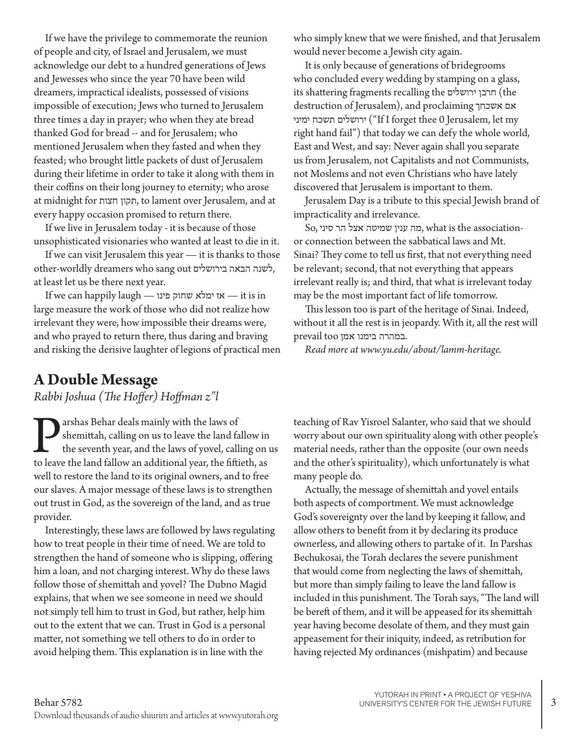If we have the privilege to commemorate the reunion of people and city, of Israel and Jerusalem, we must acknowledge our debt to a hundred generations of Jews and Jewesses who since the year 70 have been wild dreamers, impractical idealists, possessed of visions impossible of execution; Jews who turned to Jerusalem three times a day in prayer; who when they ate bread thanked God for bread -- and for Jerusalem; who mentioned Jerusalem when they fasted and when they feasted; who brought little packets of dust of Jerusalem during their lifetime in order to take it along with them in their coffins on their long journey to eternity; who arose at midnight for חצות תקון, to lament over Jerusalem, and at every happy occasion promised to return there.

If we live in Jerusalem today - it is because of those unsophisticated visionaries who wanted at least to die in it.

If we can visit Jerusalem this year — it is thanks to those other-worldly dreamers who sang out בירושלים הבאה לשנה, at least let us be there next year.

If we can happily laugh — פינו שחוק ימלא אז — it is in large measure the work of those who did not realize how irrelevant they were, how impossible their dreams were, and who prayed to return there, thus daring and braving and risking the derisive laughter of legions of practical men who simply knew that we were finished, and that Jerusalem would never become a Jewish city again.

It is only because of generations of bridegrooms who concluded every wedding by stamping on a glass, its shattering fragments recalling the חרבן ירושלים) (the destruction of Jerusalem), and proclaiming אשכחך אם ימיני תשכח ירושלים") If I forget thee 0 Jerusalem, let my right hand fail") that today we can defy the whole world, East and West, and say: Never again shall you separate us from Jerusalem, not Capitalists and not Communists, not Moslems and not even Christians who have lately discovered that Jerusalem is important to them.

Jerusalem Day is a tribute to this special Jewish brand of impracticality and irrelevance.

So, סיני הר אצל שמיטה ענין מה, what is the associationor connection between the sabbatical laws and Mt. Sinai? They come to tell us first, that not everything need be relevant; second, that not everything that appears irrelevant really is; and third, that what is irrelevant today may be the most important fact of life tomorrow.

This lesson too is part of the heritage of Sinai. Indeed, without it all the rest is in jeopardy. With it, all the rest will .במהרה בימנו אמן prevail too

*Read more at www.yu.edu/about/lamm-heritage.*

### **A Double Message**

*Rabbi Joshua (The Hoffer) Hoffman z"l*

**Parshas Behar deals mainly with the laws of shemittah, calling on us to leave the land fallow in the seventh year, and the laws of yovel, calling on to leave the land fallow an additional year, the fiftieth, as** shemittah, calling on us to leave the land fallow in the seventh year, and the laws of yovel, calling on us well to restore the land to its original owners, and to free our slaves. A major message of these laws is to strengthen out trust in God, as the sovereign of the land, and as true provider.

Interestingly, these laws are followed by laws regulating how to treat people in their time of need. We are told to strengthen the hand of someone who is slipping, offering him a loan, and not charging interest. Why do these laws follow those of shemittah and yovel? The Dubno Magid explains, that when we see someone in need we should not simply tell him to trust in God, but rather, help him out to the extent that we can. Trust in God is a personal matter, not something we tell others to do in order to avoid helping them. This explanation is in line with the

teaching of Rav Yisroel Salanter, who said that we should worry about our own spirituality along with other people's material needs, rather than the opposite (our own needs and the other's spirituality), which unfortunately is what many people do.

Actually, the message of shemittah and yovel entails both aspects of comportment. We must acknowledge God's sovereignty over the land by keeping it fallow, and allow others to benefit from it by declaring its produce ownerless, and allowing others to partake of it. In Parshas Bechukosai, the Torah declares the severe punishment that would come from neglecting the laws of shemittah, but more than simply failing to leave the land fallow is included in this punishment. The Torah says, "The land will be bereft of them, and it will be appeased for its shemittah year having become desolate of them, and they must gain appeasement for their iniquity, indeed, as retribution for having rejected My ordinances (mishpatim) and because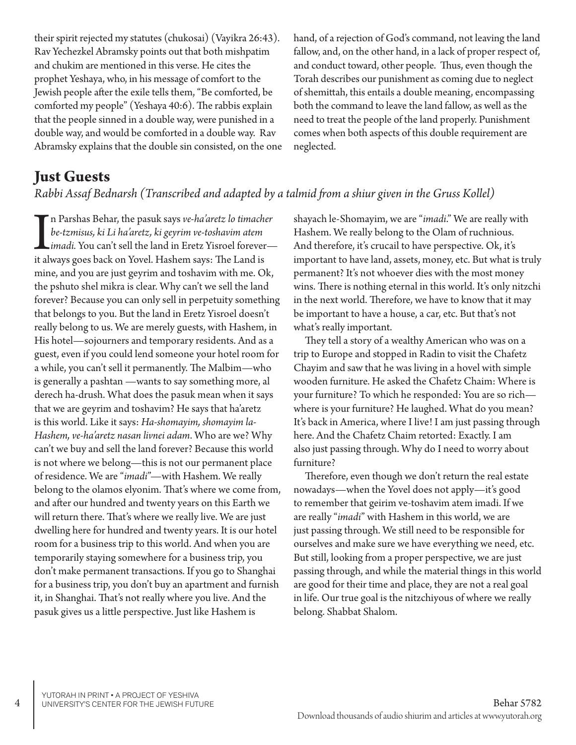their spirit rejected my statutes (chukosai) (Vayikra 26:43). Rav Yechezkel Abramsky points out that both mishpatim and chukim are mentioned in this verse. He cites the prophet Yeshaya, who, in his message of comfort to the Jewish people after the exile tells them, "Be comforted, be comforted my people" (Yeshaya 40:6). The rabbis explain that the people sinned in a double way, were punished in a double way, and would be comforted in a double way. Rav Abramsky explains that the double sin consisted, on the one

**Just Guests**

#### *Rabbi Assaf Bednarsh (Transcribed and adapted by a talmid from a shiur given in the Gruss Kollel)*

In Parshas Behar, the pasuk says *ve-ha'aretz lo timach be-tzmisus, ki Li ha'aretz, ki geyrim ve-toshavim atem imadi*. You can't sell the land in Eretz Yisroel forever it always goes back on Yovel. Hashem says: The Land is n Parshas Behar, the pasuk says *ve-ha'aretz lo timacher be-tzmisus, ki Li ha'aretz, ki geyrim ve-toshavim atem imadi.* You can't sell the land in Eretz Yisroel forever mine, and you are just geyrim and toshavim with me. Ok, the pshuto shel mikra is clear. Why can't we sell the land forever? Because you can only sell in perpetuity something that belongs to you. But the land in Eretz Yisroel doesn't really belong to us. We are merely guests, with Hashem, in His hotel—sojourners and temporary residents. And as a guest, even if you could lend someone your hotel room for a while, you can't sell it permanently. The Malbim—who is generally a pashtan —wants to say something more, al derech ha-drush. What does the pasuk mean when it says that we are geyrim and toshavim? He says that ha'aretz is this world. Like it says: *Ha-shomayim, shomayim la-Hashem, ve-ha'aretz nasan livnei adam*. Who are we? Why can't we buy and sell the land forever? Because this world is not where we belong—this is not our permanent place of residence. We are "*imadi*"—with Hashem. We really belong to the olamos elyonim. That's where we come from, and after our hundred and twenty years on this Earth we will return there. That's where we really live. We are just dwelling here for hundred and twenty years. It is our hotel room for a business trip to this world. And when you are temporarily staying somewhere for a business trip, you don't make permanent transactions. If you go to Shanghai for a business trip, you don't buy an apartment and furnish it, in Shanghai. That's not really where you live. And the pasuk gives us a little perspective. Just like Hashem is

hand, of a rejection of God's command, not leaving the land fallow, and, on the other hand, in a lack of proper respect of, and conduct toward, other people. Thus, even though the Torah describes our punishment as coming due to neglect of shemittah, this entails a double meaning, encompassing both the command to leave the land fallow, as well as the need to treat the people of the land properly. Punishment comes when both aspects of this double requirement are neglected.

shayach le-Shomayim, we are "*imadi*." We are really with Hashem. We really belong to the Olam of ruchnious. And therefore, it's crucail to have perspective. Ok, it's important to have land, assets, money, etc. But what is truly permanent? It's not whoever dies with the most money wins. There is nothing eternal in this world. It's only nitzchi in the next world. Therefore, we have to know that it may be important to have a house, a car, etc. But that's not what's really important.

They tell a story of a wealthy American who was on a trip to Europe and stopped in Radin to visit the Chafetz Chayim and saw that he was living in a hovel with simple wooden furniture. He asked the Chafetz Chaim: Where is your furniture? To which he responded: You are so rich where is your furniture? He laughed. What do you mean? It's back in America, where I live! I am just passing through here. And the Chafetz Chaim retorted: Exactly. I am also just passing through. Why do I need to worry about furniture?

Therefore, even though we don't return the real estate nowadays—when the Yovel does not apply—it's good to remember that geirim ve-toshavim atem imadi. If we are really "*imadi*" with Hashem in this world, we are just passing through. We still need to be responsible for ourselves and make sure we have everything we need, etc. But still, looking from a proper perspective, we are just passing through, and while the material things in this world are good for their time and place, they are not a real goal in life. Our true goal is the nitzchiyous of where we really belong. Shabbat Shalom.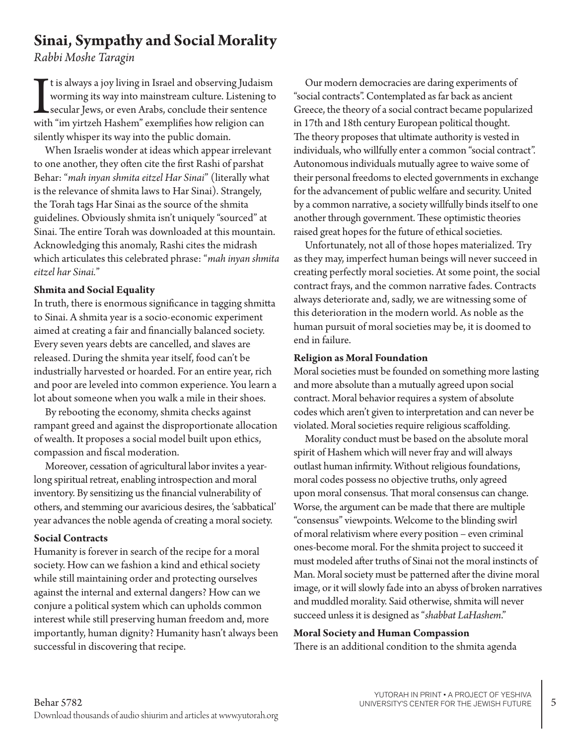### **Sinai, Sympathy and Social Morality**

*Rabbi Moshe Taragin*

It is always a joy living in Israel and observing Judaisi worming its way into mainstream culture. Listening secular Jews, or even Arabs, conclude their sentence with "im yirtzeh Hashem" exemplifies how religion can t is always a joy living in Israel and observing Judaism worming its way into mainstream culture. Listening to secular Jews, or even Arabs, conclude their sentence silently whisper its way into the public domain.

When Israelis wonder at ideas which appear irrelevant to one another, they often cite the first Rashi of parshat Behar: "*mah inyan shmita eitzel Har Sinai*" (literally what is the relevance of shmita laws to Har Sinai). Strangely, the Torah tags Har Sinai as the source of the shmita guidelines. Obviously shmita isn't uniquely "sourced" at Sinai. The entire Torah was downloaded at this mountain. Acknowledging this anomaly, Rashi cites the midrash which articulates this celebrated phrase: "*mah inyan shmita eitzel har Sinai.*"

#### **Shmita and Social Equality**

In truth, there is enormous significance in tagging shmitta to Sinai. A shmita year is a socio-economic experiment aimed at creating a fair and financially balanced society. Every seven years debts are cancelled, and slaves are released. During the shmita year itself, food can't be industrially harvested or hoarded. For an entire year, rich and poor are leveled into common experience. You learn a lot about someone when you walk a mile in their shoes.

By rebooting the economy, shmita checks against rampant greed and against the disproportionate allocation of wealth. It proposes a social model built upon ethics, compassion and fiscal moderation.

Moreover, cessation of agricultural labor invites a yearlong spiritual retreat, enabling introspection and moral inventory. By sensitizing us the financial vulnerability of others, and stemming our avaricious desires, the 'sabbatical' year advances the noble agenda of creating a moral society.

#### **Social Contracts**

Humanity is forever in search of the recipe for a moral society. How can we fashion a kind and ethical society while still maintaining order and protecting ourselves against the internal and external dangers? How can we conjure a political system which can upholds common interest while still preserving human freedom and, more importantly, human dignity? Humanity hasn't always been successful in discovering that recipe.

Our modern democracies are daring experiments of "social contracts". Contemplated as far back as ancient Greece, the theory of a social contract became popularized in 17th and 18th century European political thought. The theory proposes that ultimate authority is vested in individuals, who willfully enter a common "social contract". Autonomous individuals mutually agree to waive some of their personal freedoms to elected governments in exchange for the advancement of public welfare and security. United by a common narrative, a society willfully binds itself to one another through government. These optimistic theories raised great hopes for the future of ethical societies.

Unfortunately, not all of those hopes materialized. Try as they may, imperfect human beings will never succeed in creating perfectly moral societies. At some point, the social contract frays, and the common narrative fades. Contracts always deteriorate and, sadly, we are witnessing some of this deterioration in the modern world. As noble as the human pursuit of moral societies may be, it is doomed to end in failure.

#### **Religion as Moral Foundation**

Moral societies must be founded on something more lasting and more absolute than a mutually agreed upon social contract. Moral behavior requires a system of absolute codes which aren't given to interpretation and can never be violated. Moral societies require religious scaffolding.

Morality conduct must be based on the absolute moral spirit of Hashem which will never fray and will always outlast human infirmity. Without religious foundations, moral codes possess no objective truths, only agreed upon moral consensus. That moral consensus can change. Worse, the argument can be made that there are multiple "consensus" viewpoints. Welcome to the blinding swirl of moral relativism where every position – even criminal ones-become moral. For the shmita project to succeed it must modeled after truths of Sinai not the moral instincts of Man. Moral society must be patterned after the divine moral image, or it will slowly fade into an abyss of broken narratives and muddled morality. Said otherwise, shmita will never succeed unless it is designed as "*shabbat LaHashem*."

#### **Moral Society and Human Compassion**

There is an additional condition to the shmita agenda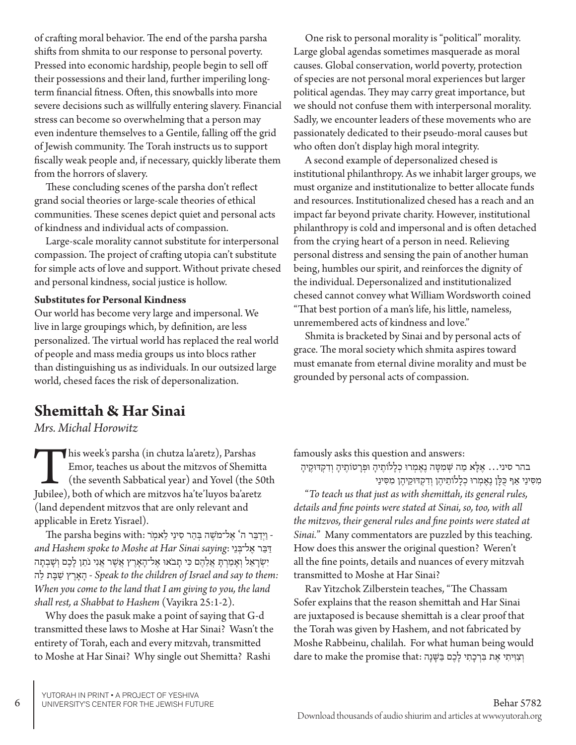of crafting moral behavior. The end of the parsha parsha shifts from shmita to our response to personal poverty. Pressed into economic hardship, people begin to sell off their possessions and their land, further imperiling longterm financial fitness. Often, this snowballs into more severe decisions such as willfully entering slavery. Financial stress can become so overwhelming that a person may even indenture themselves to a Gentile, falling off the grid of Jewish community. The Torah instructs us to support fiscally weak people and, if necessary, quickly liberate them from the horrors of slavery.

These concluding scenes of the parsha don't reflect grand social theories or large-scale theories of ethical communities. These scenes depict quiet and personal acts of kindness and individual acts of compassion.

Large-scale morality cannot substitute for interpersonal compassion. The project of crafting utopia can't substitute for simple acts of love and support. Without private chesed and personal kindness, social justice is hollow.

#### **Substitutes for Personal Kindness**

Our world has become very large and impersonal. We live in large groupings which, by definition, are less personalized. The virtual world has replaced the real world of people and mass media groups us into blocs rather than distinguishing us as individuals. In our outsized large world, chesed faces the risk of depersonalization.

### **Shemittah & Har Sinai**

*Mrs. Michal Horowitz*

his week's parsha (in chutza la'aretz), Parshas<br>Emor, teaches us about the mitzvos of Shemit<br>(the seventh Sabbatical year) and Yovel (the 5)<br>Jubilee), both of which are mitzvos ha'te'luyos ba'aret Emor, teaches us about the mitzvos of Shemitta (the seventh Sabbatical year) and Yovel (the 50th Jubilee), both of which are mitzvos ha'te'luyos ba'aretz (land dependent mitzvos that are only relevant and applicable in Eretz Yisrael).

- וַיְדַבֵּר ה' אֱל־מֹשֶׁה בְּהַר סִינַי לֵאמִׂר The parsha begins with: *and Hashem spoke to Moshe at Har Sinai saying*: יֵנ ְבּל־ ֶא ר ֵבּ ַדּ יִשְׂרָאֵל וְאָמַרְתָּ אֱלֶהֶם כִּי תַבֹאוּ אֶל־הָאָרֶץ אֲשֶׁר אֲנִי נֹתֶן לַכֶם וְשַׁבְתַה ה ַל ת ָבּ ַשׁ ץ ֶר ָא ָה - *Speak to the children of Israel and say to them: When you come to the land that I am giving to you, the land shall rest, a Shabbat to Hashem* (Vayikra 25:1-2).

Why does the pasuk make a point of saying that G-d transmitted these laws to Moshe at Har Sinai? Wasn't the entirety of Torah, each and every mitzvah, transmitted to Moshe at Har Sinai? Why single out Shemitta? Rashi

One risk to personal morality is "political" morality. Large global agendas sometimes masquerade as moral causes. Global conservation, world poverty, protection of species are not personal moral experiences but larger political agendas. They may carry great importance, but we should not confuse them with interpersonal morality. Sadly, we encounter leaders of these movements who are passionately dedicated to their pseudo-moral causes but who often don't display high moral integrity.

A second example of depersonalized chesed is institutional philanthropy. As we inhabit larger groups, we must organize and institutionalize to better allocate funds and resources. Institutionalized chesed has a reach and an impact far beyond private charity. However, institutional philanthropy is cold and impersonal and is often detached from the crying heart of a person in need. Relieving personal distress and sensing the pain of another human being, humbles our spirit, and reinforces the dignity of the individual. Depersonalized and institutionalized chesed cannot convey what William Wordsworth coined "That best portion of a man's life, his little, nameless, unremembered acts of kindness and love."

Shmita is bracketed by Sinai and by personal acts of grace. The moral society which shmita aspires toward must emanate from eternal divine morality and must be grounded by personal acts of compassion.

famously asks this question and answers:

בהר סיני... אֵלָא מַה שִׁמְטָּה נֵאֲמְרוּ כְלַלוֹתֵיהָ וּפְרַטוֹתֵיהָ וִדִקְדּוּקֵיהָ מִסִינַי אַף כֻּלָּן נֶאֶמְרוּ כְלָלוֹתֵיהֶן וְדִקְדּוּקֵיהֶן מִסִּינַי

"*To teach us that just as with shemittah, its general rules, details and fine points were stated at Sinai, so, too, with all the mitzvos, their general rules and fine points were stated at Sinai.*" Many commentators are puzzled by this teaching. How does this answer the original question? Weren't all the fine points, details and nuances of every mitzvah transmitted to Moshe at Har Sinai?

Rav Yitzchok Zilberstein teaches, "The Chassam Sofer explains that the reason shemittah and Har Sinai are juxtaposed is because shemittah is a clear proof that the Torah was given by Hashem, and not fabricated by Moshe Rabbeinu, chalilah. For what human being would וְצִוְיֹתִי אֶת בִּרְכָתִי לָכֶם בַּשֶּׁנָה :dare to make the promise that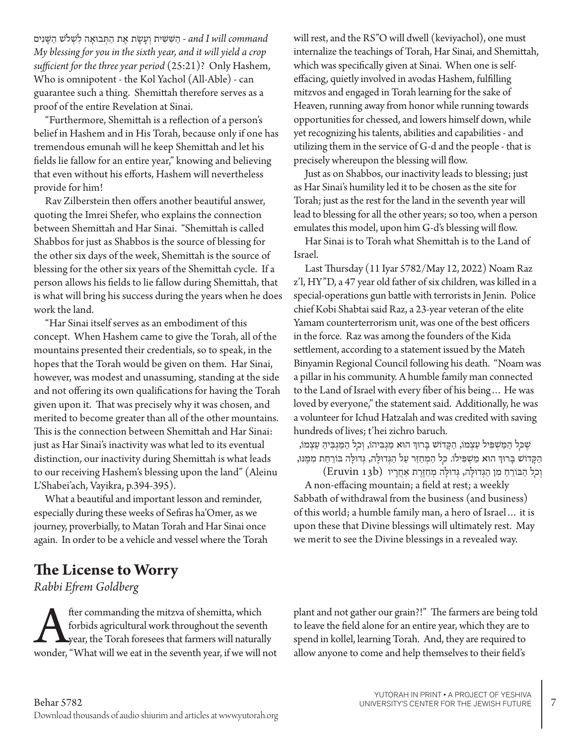*and I will command -* הַשָּׁשִׂית וְעָשָׂת אֵת הַתְּבוּאָה לְשְׁלֹש הַשָּׁנִים *My blessing for you in the sixth year, and it will yield a crop sufficient for the three year period* (25:21)? Only Hashem, Who is omnipotent - the Kol Yachol (All-Able) - can guarantee such a thing. Shemittah therefore serves as a proof of the entire Revelation at Sinai.

"Furthermore, Shemittah is a reflection of a person's belief in Hashem and in His Torah, because only if one has tremendous emunah will he keep Shemittah and let his fields lie fallow for an entire year," knowing and believing that even without his efforts, Hashem will nevertheless provide for him!

Rav Zilberstein then offers another beautiful answer, quoting the Imrei Shefer, who explains the connection between Shemittah and Har Sinai. "Shemittah is called Shabbos for just as Shabbos is the source of blessing for the other six days of the week, Shemittah is the source of blessing for the other six years of the Shemittah cycle. If a person allows his fields to lie fallow during Shemittah, that is what will bring his success during the years when he does work the land.

"Har Sinai itself serves as an embodiment of this concept. When Hashem came to give the Torah, all of the mountains presented their credentials, so to speak, in the hopes that the Torah would be given on them. Har Sinai, however, was modest and unassuming, standing at the side and not offering its own qualifications for having the Torah given upon it. That was precisely why it was chosen, and merited to become greater than all of the other mountains. This is the connection between Shemittah and Har Sinai: just as Har Sinai's inactivity was what led to its eventual distinction, our inactivity during Shemittah is what leads to our receiving Hashem's blessing upon the land" (Aleinu L'Shabei'ach, Vayikra, p.394-395).

What a beautiful and important lesson and reminder, especially during these weeks of Sefiras ha'Omer, as we journey, proverbially, to Matan Torah and Har Sinai once again. In order to be a vehicle and vessel where the Torah will rest, and the RS"O will dwell (keviyachol), one must internalize the teachings of Torah, Har Sinai, and Shemittah, which was specifically given at Sinai. When one is selfeffacing, quietly involved in avodas Hashem, fulfilling mitzvos and engaged in Torah learning for the sake of Heaven, running away from honor while running towards opportunities for chessed, and lowers himself down, while yet recognizing his talents, abilities and capabilities - and utilizing them in the service of G-d and the people - that is precisely whereupon the blessing will flow.

Just as on Shabbos, our inactivity leads to blessing; just as Har Sinai's humility led it to be chosen as the site for Torah; just as the rest for the land in the seventh year will lead to blessing for all the other years; so too, when a person emulates this model, upon him G-d's blessing will flow.

Har Sinai is to Torah what Shemittah is to the Land of Israel.

Last Thursday (11 Iyar 5782/May 12, 2022) Noam Raz z'l, HY"D, a 47 year old father of six children, was killed in a special-operations gun battle with terrorists in Jenin. Police chief Kobi Shabtai said Raz, a 23-year veteran of the elite Yamam counterterrorism unit, was one of the best officers in the force. Raz was among the founders of the Kida settlement, according to a statement issued by the Mateh Binyamin Regional Council following his death. "Noam was a pillar in his community. A humble family man connected to the Land of Israel with every fiber of his being… He was loved by everyone," the statement said. Additionally, he was a volunteer for Ichud Hatzalah and was credited with saving hundreds of lives; t'hei zichro baruch.

ֿשֶׁכַּל הַמַּשְׁפִּיל עַצְמוֹ, הַקַּדוֹשׁ בַּרוּךְ הוּא מַגְבִּיהוֹ, וְכַל הַמַּגְבִּיהַ עַצְמוֹ, הַקָּדוֹשׁ בָּרוּךְ הוּא מַשְׁפִּילֹו. כַּלְ הַמְחַזֵּר עַל הַגְּדוּלָה, גְּדוּלָה בּוֹרַחַת מִמְּנּוּ,

וְכָל הַבּוֹרֵחַ מִן הַגְּדוּלָה, גְּדוּלָה מִחַזֶּרֶת אַחֲרָיו (Eruvin 13b) A non-effacing mountain; a field at rest; a weekly Sabbath of withdrawal from the business (and business) of this world; a humble family man, a hero of Israel… it is upon these that Divine blessings will ultimately rest. May we merit to see the Divine blessings in a revealed way.

### **The License to Worry**

*Rabbi Efrem Goldberg*

fter commanding the mitzva of shemitta, which forbids agricultural work throughout the seventh year, the Torah foresees that farmers will naturally wonder, "What will we eat in the seventh year, if we will not forbids agricultural work throughout the seventh year, the Torah foresees that farmers will naturally

plant and not gather our grain?!" The farmers are being told to leave the field alone for an entire year, which they are to spend in kollel, learning Torah. And, they are required to allow anyone to come and help themselves to their field's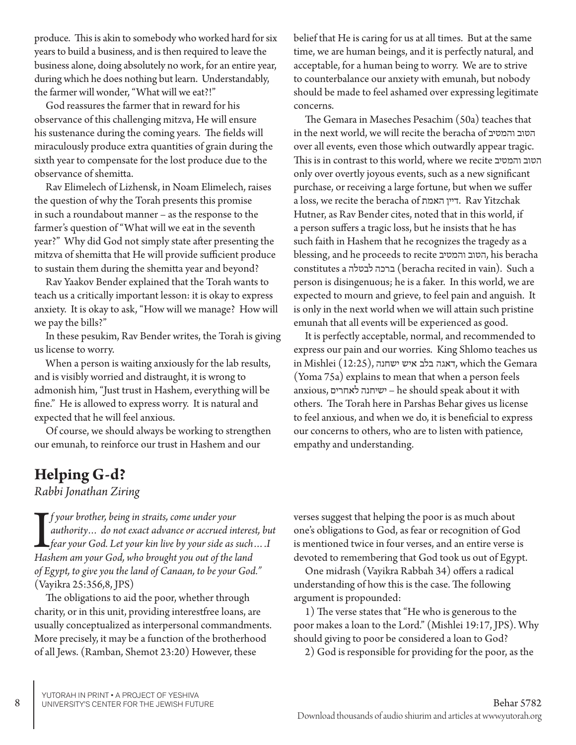produce. This is akin to somebody who worked hard for six years to build a business, and is then required to leave the business alone, doing absolutely no work, for an entire year, during which he does nothing but learn. Understandably, the farmer will wonder, "What will we eat?!"

God reassures the farmer that in reward for his observance of this challenging mitzva, He will ensure his sustenance during the coming years. The fields will miraculously produce extra quantities of grain during the sixth year to compensate for the lost produce due to the observance of shemitta.

Rav Elimelech of Lizhensk, in Noam Elimelech, raises the question of why the Torah presents this promise in such a roundabout manner – as the response to the farmer's question of "What will we eat in the seventh year?" Why did God not simply state after presenting the mitzva of shemitta that He will provide sufficient produce to sustain them during the shemitta year and beyond?

Rav Yaakov Bender explained that the Torah wants to teach us a critically important lesson: it is okay to express anxiety. It is okay to ask, "How will we manage? How will we pay the bills?"

In these pesukim, Rav Bender writes, the Torah is giving us license to worry.

When a person is waiting anxiously for the lab results, and is visibly worried and distraught, it is wrong to admonish him, "Just trust in Hashem, everything will be fine." He is allowed to express worry. It is natural and expected that he will feel anxious.

Of course, we should always be working to strengthen our emunah, to reinforce our trust in Hashem and our

### **Helping G-d?**

*Rabbi Jonathan Ziring*

**I** fyour brother, being in straits, come under your<br>authority... do not exact advance or accrued interes<br>fear your God. Let your kin live by your side as such<br>Hashem am your God, who brought you out of the land *f your brother, being in straits, come under your authority… do not exact advance or accrued interest, but fear your God. Let your kin live by your side as such….I of Egypt, to give you the land of Canaan, to be your God."* (Vayikra 25:356,8, JPS)

The obligations to aid the poor, whether through charity, or in this unit, providing interestfree loans, are usually conceptualized as interpersonal commandments. More precisely, it may be a function of the brotherhood of all Jews. (Ramban, Shemot 23:20) However, these

belief that He is caring for us at all times. But at the same time, we are human beings, and it is perfectly natural, and acceptable, for a human being to worry. We are to strive to counterbalance our anxiety with emunah, but nobody should be made to feel ashamed over expressing legitimate concerns.

The Gemara in Maseches Pesachim (50a) teaches that in the next world, we will recite the beracha of והמטיב הטוב over all events, even those which outwardly appear tragic. This is in contrast to this world, where we recite והמטיב הטוב only over overtly joyous events, such as a new significant purchase, or receiving a large fortune, but when we suffer a loss, we recite the beracha of האמת דיין. Rav Yitzchak Hutner, as Rav Bender cites, noted that in this world, if a person suffers a tragic loss, but he insists that he has such faith in Hashem that he recognizes the tragedy as a blessing, and he proceeds to recite והמטיב הטוב, his beracha constitutes a לבטלה ברכה) beracha recited in vain). Such a person is disingenuous; he is a faker. In this world, we are expected to mourn and grieve, to feel pain and anguish. It is only in the next world when we will attain such pristine emunah that all events will be experienced as good.

It is perfectly acceptable, normal, and recommended to express our pain and our worries. King Shlomo teaches us in Mishlei (12:25), ישחנה איש בלב דאגה, which the Gemara (Yoma 75a) explains to mean that when a person feels anxious, לאחרים ישיחנה – he should speak about it with others. The Torah here in Parshas Behar gives us license to feel anxious, and when we do, it is beneficial to express our concerns to others, who are to listen with patience, empathy and understanding.

verses suggest that helping the poor is as much about one's obligations to God, as fear or recognition of God is mentioned twice in four verses, and an entire verse is devoted to remembering that God took us out of Egypt.

One midrash (Vayikra Rabbah 34) offers a radical understanding of how this is the case. The following argument is propounded:

1) The verse states that "He who is generous to the poor makes a loan to the Lord." (Mishlei 19:17, JPS). Why should giving to poor be considered a loan to God?

2) God is responsible for providing for the poor, as the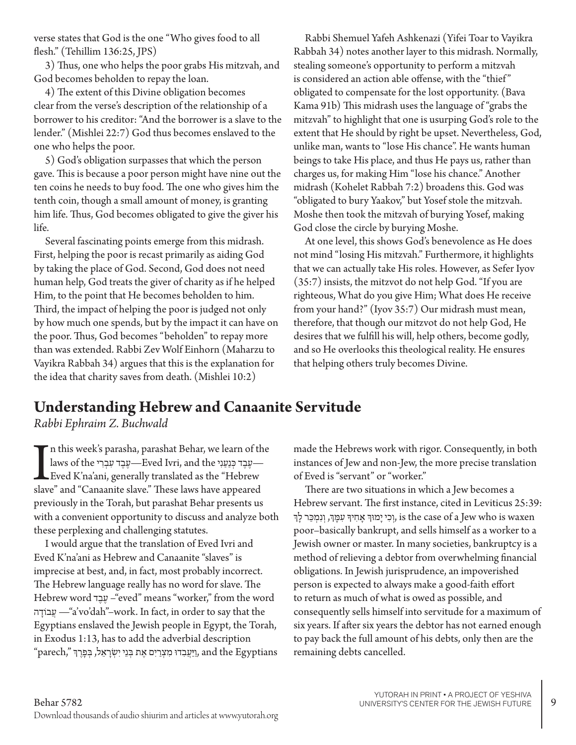verse states that God is the one "Who gives food to all flesh." (Tehillim 136:25, JPS)

3) Thus, one who helps the poor grabs His mitzvah, and God becomes beholden to repay the loan.

4) The extent of this Divine obligation becomes clear from the verse's description of the relationship of a borrower to his creditor: "And the borrower is a slave to the lender." (Mishlei 22:7) God thus becomes enslaved to the one who helps the poor.

5) God's obligation surpasses that which the person gave. This is because a poor person might have nine out the ten coins he needs to buy food. The one who gives him the tenth coin, though a small amount of money, is granting him life. Thus, God becomes obligated to give the giver his life.

Several fascinating points emerge from this midrash. First, helping the poor is recast primarily as aiding God by taking the place of God. Second, God does not need human help, God treats the giver of charity as if he helped Him, to the point that He becomes beholden to him. Third, the impact of helping the poor is judged not only by how much one spends, but by the impact it can have on the poor. Thus, God becomes "beholden" to repay more than was extended. Rabbi Zev Wolf Einhorn (Maharzu to Vayikra Rabbah 34) argues that this is the explanation for the idea that charity saves from death. (Mishlei 10:2)

Rabbi Shemuel Yafeh Ashkenazi (Yifei Toar to Vayikra Rabbah 34) notes another layer to this midrash. Normally, stealing someone's opportunity to perform a mitzvah is considered an action able offense, with the "thief " obligated to compensate for the lost opportunity. (Bava Kama 91b) This midrash uses the language of "grabs the mitzvah" to highlight that one is usurping God's role to the extent that He should by right be upset. Nevertheless, God, unlike man, wants to "lose His chance". He wants human beings to take His place, and thus He pays us, rather than charges us, for making Him "lose his chance." Another midrash (Kohelet Rabbah 7:2) broadens this. God was "obligated to bury Yaakov," but Yosef stole the mitzvah. Moshe then took the mitzvah of burying Yosef, making God close the circle by burying Moshe.

At one level, this shows God's benevolence as He does not mind "losing His mitzvah." Furthermore, it highlights that we can actually take His roles. However, as Sefer Iyov (35:7) insists, the mitzvot do not help God. "If you are righteous, What do you give Him; What does He receive from your hand?" (Iyov 35:7) Our midrash must mean, therefore, that though our mitzvot do not help God, He desires that we fulfill his will, help others, become godly, and so He overlooks this theological reality. He ensures that helping others truly becomes Divine.

### **Understanding Hebrew and Canaanite Servitude**

*Rabbi Ephraim Z. Buchwald*

 $\blacksquare$ n this week's parasha, parashat Behar, we learn of th<br/>laws of the שְׁבֶד עִבְרָי —Eved Ivri, and the שָׁבֶד עַבְר<br/>greed K'na'ani, generally translated as the "Hebrew slave" and "Canaanite slave." These laws n this week's parasha, parashat Behar, we learn of the  $l$ aws of the יָעֶבֶד עִבְרִי יִעִבְר $-$ Eved Ivri, and the  $-$ Eved K'na'ani, generally translated as the "Hebrew previously in the Torah, but parashat Behar presents us with a convenient opportunity to discuss and analyze both these perplexing and challenging statutes.

I would argue that the translation of Eved Ivri and Eved K'na'ani as Hebrew and Canaanite "slaves" is imprecise at best, and, in fact, most probably incorrect. The Hebrew language really has no word for slave. The Hebrew word ד ָעֲבֵד – eved" means "worker," from the word ה ָודֹב ֲע"— a'vo'dah"–work. In fact, in order to say that the Egyptians enslaved the Jewish people in Egypt, the Torah, in Exodus 1:13, has to add the adverbial description "parech," בִּבְּרֶאֵל, בִּפְרֵךְ, and the Egyptians made the Hebrews work with rigor. Consequently, in both instances of Jew and non-Jew, the more precise translation of Eved is "servant" or "worker."

There are two situations in which a Jew becomes a Hebrew servant. The first instance, cited in Leviticus 25:39: וִכִי יָמוּךְ אָחִיךְ עִמְּךָ, וִנְמִכַּר לָךְ, is the case of a Jew who is waxen poor–basically bankrupt, and sells himself as a worker to a Jewish owner or master. In many societies, bankruptcy is a method of relieving a debtor from overwhelming financial obligations. In Jewish jurisprudence, an impoverished person is expected to always make a good-faith effort to return as much of what is owed as possible, and consequently sells himself into servitude for a maximum of six years. If after six years the debtor has not earned enough to pay back the full amount of his debts, only then are the remaining debts cancelled.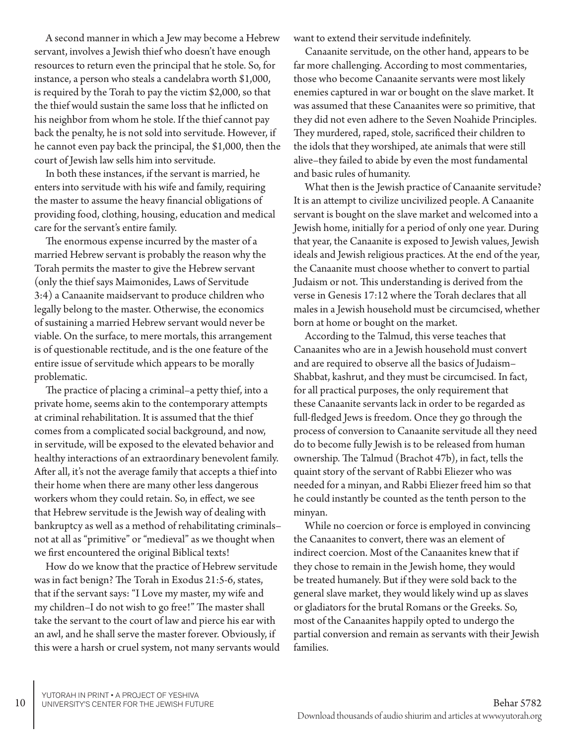A second manner in which a Jew may become a Hebrew servant, involves a Jewish thief who doesn't have enough resources to return even the principal that he stole. So, for instance, a person who steals a candelabra worth \$1,000, is required by the Torah to pay the victim \$2,000, so that the thief would sustain the same loss that he inflicted on his neighbor from whom he stole. If the thief cannot pay back the penalty, he is not sold into servitude. However, if he cannot even pay back the principal, the \$1,000, then the court of Jewish law sells him into servitude.

In both these instances, if the servant is married, he enters into servitude with his wife and family, requiring the master to assume the heavy financial obligations of providing food, clothing, housing, education and medical care for the servant's entire family.

The enormous expense incurred by the master of a married Hebrew servant is probably the reason why the Torah permits the master to give the Hebrew servant (only the thief says Maimonides, Laws of Servitude 3:4) a Canaanite maidservant to produce children who legally belong to the master. Otherwise, the economics of sustaining a married Hebrew servant would never be viable. On the surface, to mere mortals, this arrangement is of questionable rectitude, and is the one feature of the entire issue of servitude which appears to be morally problematic.

The practice of placing a criminal–a petty thief, into a private home, seems akin to the contemporary attempts at criminal rehabilitation. It is assumed that the thief comes from a complicated social background, and now, in servitude, will be exposed to the elevated behavior and healthy interactions of an extraordinary benevolent family. After all, it's not the average family that accepts a thief into their home when there are many other less dangerous workers whom they could retain. So, in effect, we see that Hebrew servitude is the Jewish way of dealing with bankruptcy as well as a method of rehabilitating criminals– not at all as "primitive" or "medieval" as we thought when we first encountered the original Biblical texts!

How do we know that the practice of Hebrew servitude was in fact benign? The Torah in Exodus 21:5-6, states, that if the servant says: "I Love my master, my wife and my children–I do not wish to go free!" The master shall take the servant to the court of law and pierce his ear with an awl, and he shall serve the master forever. Obviously, if this were a harsh or cruel system, not many servants would want to extend their servitude indefinitely.

Canaanite servitude, on the other hand, appears to be far more challenging. According to most commentaries, those who become Canaanite servants were most likely enemies captured in war or bought on the slave market. It was assumed that these Canaanites were so primitive, that they did not even adhere to the Seven Noahide Principles. They murdered, raped, stole, sacrificed their children to the idols that they worshiped, ate animals that were still alive–they failed to abide by even the most fundamental and basic rules of humanity.

What then is the Jewish practice of Canaanite servitude? It is an attempt to civilize uncivilized people. A Canaanite servant is bought on the slave market and welcomed into a Jewish home, initially for a period of only one year. During that year, the Canaanite is exposed to Jewish values, Jewish ideals and Jewish religious practices. At the end of the year, the Canaanite must choose whether to convert to partial Judaism or not. This understanding is derived from the verse in Genesis 17:12 where the Torah declares that all males in a Jewish household must be circumcised, whether born at home or bought on the market.

According to the Talmud, this verse teaches that Canaanites who are in a Jewish household must convert and are required to observe all the basics of Judaism– Shabbat, kashrut, and they must be circumcised. In fact, for all practical purposes, the only requirement that these Canaanite servants lack in order to be regarded as full-fledged Jews is freedom. Once they go through the process of conversion to Canaanite servitude all they need do to become fully Jewish is to be released from human ownership. The Talmud (Brachot 47b), in fact, tells the quaint story of the servant of Rabbi Eliezer who was needed for a minyan, and Rabbi Eliezer freed him so that he could instantly be counted as the tenth person to the minyan.

While no coercion or force is employed in convincing the Canaanites to convert, there was an element of indirect coercion. Most of the Canaanites knew that if they chose to remain in the Jewish home, they would be treated humanely. But if they were sold back to the general slave market, they would likely wind up as slaves or gladiators for the brutal Romans or the Greeks. So, most of the Canaanites happily opted to undergo the partial conversion and remain as servants with their Jewish families.